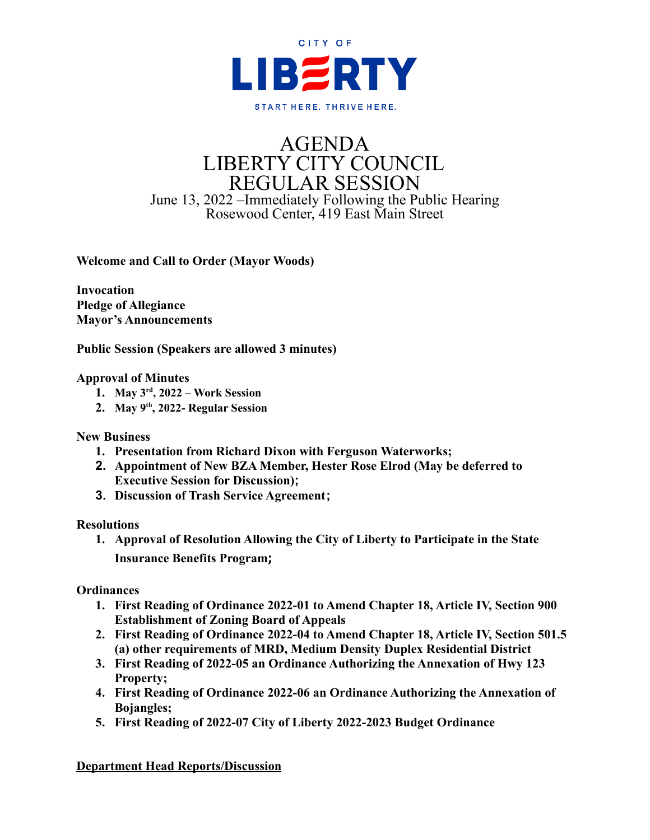

# AGENDA LIBERTY CITY COUNCIL REGULAR SESSION June 13, 2022 –Immediately Following the Public Hearing Rosewood Center, 419 East Main Street

**Welcome and Call to Order (Mayor Woods)**

**Invocation Pledge of Allegiance Mayor's Announcements**

**Public Session (Speakers are allowed 3 minutes)**

## **Approval of Minutes**

- **1. May 3 rd , 2022 – Work Session**
- **2. May 9 th , 2022- Regular Session**

#### **New Business**

- **1. Presentation from Richard Dixon with Ferguson Waterworks;**
- **2. Appointment of New BZA Member, Hester Rose Elrod (May be deferred to Executive Session for Discussion);**
- **3. Discussion of Trash Service Agreement;**

#### **Resolutions**

**1. Approval of Resolution Allowing the City of Liberty to Participate in the State Insurance Benefits Program;**

**Ordinances**

- **1. First Reading of Ordinance 2022-01 to Amend Chapter 18, Article IV, Section 900 Establishment of Zoning Board of Appeals**
- **2. First Reading of Ordinance 2022-04 to Amend Chapter 18, Article IV, Section 501.5 (a) other requirements of MRD, Medium Density Duplex Residential District**
- **3. First Reading of 2022-05 an Ordinance Authorizing the Annexation of Hwy 123 Property;**
- **4. First Reading of Ordinance 2022-06 an Ordinance Authorizing the Annexation of Bojangles;**
- **5. First Reading of 2022-07 City of Liberty 2022-2023 Budget Ordinance**

**Department Head Reports/Discussion**